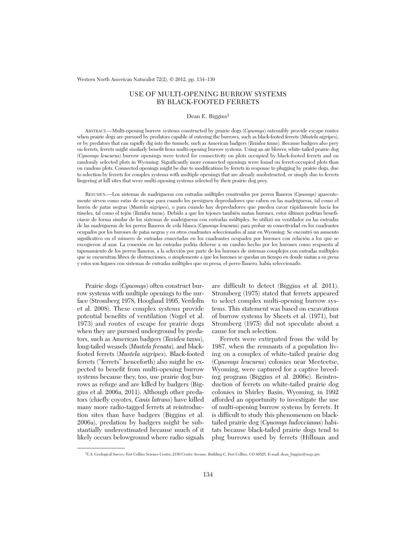# USE OF MULTI-OPENING BURROW SYSTEMS BY BLACK-FOOTED FERRETS

# Dean E. Biggins<sup>1</sup>

ABSTRACT.—Multi-opening burrow systems constructed by prairie dogs (*Cynomys*) ostensibly provide escape routes when prairie dogs are pursued by predators capable of entering the burrows, such as black-footed ferrets (*Mustela nigripes*), or by predators that can rapidly dig into the tunnels, such as American badgers (*Taxidea taxus*). Because badgers also prey on ferrets, ferrets might similarly benefit from multi-opening burrow systems. Using an air blower, white-tailed prairie dog (*Cynomys leucurus*) burrow openings were tested for connectivity on plots occupied by black-footed ferrets and on randomly selected plots in Wyoming. Significantly more connected openings were found on ferret-occupied plots than on random plots. Connected openings might be due to modifications by ferrets in response to plugging by prairie dogs, due to selection by ferrets for complex systems with multiple openings that are already unobstructed, or simply due to ferrets lingering at kill sites that were multi-opening systems selected by their prairie dog prey.

RESUMEN.—Los sistemas de madrigueras con entradas múltiples construidos por perros llaneros (*Cynomys*) aparentemente sirven como rutas de escape para cuando los persiguen depredadores que caben en las madrigueras, tal como el hurón de patas negras (*Mustela nigripes*), o para cuando hay depredadores que pueden cavar rápidamente hacia los túneles, tal como el tejón (*Taxidea taxus*). Debido a que los tejones también matan hurones, estos últimos podrían beneficiarse de forma similar de los sistemas de madrigueras con entradas múltiples. Se utilizó un ventilador en las entradas de las madrigueras de los perros llaneros de cola blanca (*Cynomys leucurus*) para probar su conectividad en los cuadrantes ocupados por los hurones de patas negras y en otros cuadrantes seleccionados al azar en Wyoming. Se encontró un aumento significativo en el número de entradas conectadas en los cuadrantes ocupados por hurones con relación a los que se escogieron al azar. La conexión en las entradas podría deberse a un cambio hecho por los hurones como respuesta al taponamiento de los perros llaneros, a la selección por parte de los hurones de sistemas complejos con entradas múltiples que se encuentran libres de obstrucciones, o simplemente a que los hurones se quedan un tiempo en donde matan a su presa y estos son lugares con sistemas de entradas múltiples que su presa, el perro llanero, había seleccionado.

Prairie dogs (*Cynomys*) often construct burrow systems with multiple openings to the surface (Stromberg 1978, Hoogland 1995, Verdolin et al. 2008). These complex systems provide potential benefits of ventilation (Vogel et al. 1973) and routes of escape for prairie dogs when they are pursued underground by predators, such as American badgers (*Taxidea taxus*), long-tailed weasels (*Mustela frenata*), and blackfooted ferrets (*Mustela nigripes*). Black-footed ferrets ("ferrets" henceforth) also might be ex pected to benefit from multi-opening burrow systems because they, too, use prairie dog burrows as refuge and are killed by badgers (Biggins et al. 2006a, 2011). Although other predators (chiefly coyotes, *Canis latrans*) have killed many more radio-tagged ferrets at reintroduction sites than have badgers (Biggins et al. 2006a), predation by badgers might be substantially underestimated because much of it likely occurs belowground where radio signals

are difficult to detect (Biggins et al. 2011). Stromberg (1975) stated that ferrets appeared to select complex multi-opening burrow systems. This statement was based on excavations of burrow systems by Sheets et al. (1971), but Stromberg (1975) did not speculate about a cause for such selection.

Ferrets were extirpated from the wild by 1987, when the remnants of a population living on a complex of white-tailed prairie dog (*Cyno mys leucurus*) colonies near Meeteetse, Wyoming, were captured for a captive breeding program (Biggins et al. 2006c). Reintroduction of ferrets on white-tailed prairie dog colonies in Shirley Basin, Wyoming, in 1992 afforded an opportunity to investigate the use of multi-opening burrow systems by ferrets. It is difficult to study this phenomenon on blacktailed prairie dog (*Cynomys ludovcianus*) habitats because black-tailed prairie dogs tend to plug burrows used by ferrets (Hillman and

<sup>1</sup>U.S. Geological Survey, Fort Collins Science Center, 2150 Centre Avenue, Building C, Fort Collins, CO 80525. E-mail: dean\_biggins@usgs.gov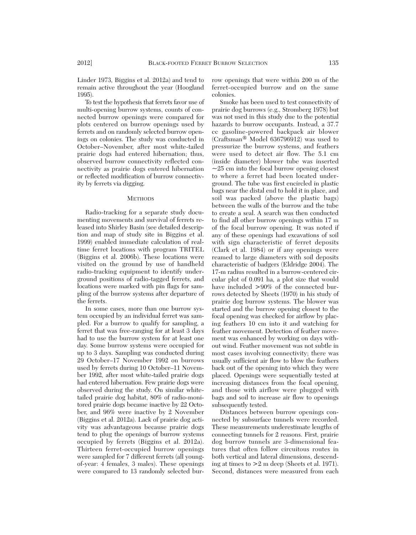Linder 1973, Biggins et al. 2012a) and tend to remain active throughout the year (Hoogland 1995).

To test the hypothesis that ferrets favor use of multi-opening burrow systems, counts of connected burrow openings were compared for plots centered on burrow openings used by ferrets and on randomly selected burrow openings on colonies. The study was conducted in October–November, after most white-tailed prairie dogs had entered hibernation; thus, observed burrow connectivity reflected connectivity as prairie dogs entered hibernation or reflected modification of burrow connectivity by ferrets via digging.

#### **METHODS**

Radio-tracking for a separate study documenting movements and survival of ferrets released into Shirley Basin (see detailed description and map of study site in Biggins et al. 1999) enabled immediate calculation of realtime ferret locations with program TRITEL (Biggins et al. 2006b). These locations were visited on the ground by use of handheld radio-tracking equipment to identify underground positions of radio-tagged ferrets, and locations were marked with pin flags for sampling of the burrow systems after departure of the ferrets.

In some cases, more than one burrow system occupied by an individual ferret was sampled. For a burrow to qualify for sampling, a ferret that was free-ranging for at least 3 days had to use the burrow system for at least one day. Some burrow systems were occupied for up to 3 days. Sampling was conducted during 29 October–17 November 1992 on burrows used by ferrets during 10 October–11 November 1992, after most white-tailed prairie dogs had entered hibernation. Few prairie dogs were observed during the study. On similar whitetailed prairie dog habitat, 80% of radio-monitored prairie dogs became inactive by 22 October, and 96% were inactive by 2 November (Biggins et al. 2012a). Lack of prairie dog activity was advantageous because prairie dogs tend to plug the openings of burrow systems occupied by ferrets (Biggins et al. 2012a). Thirteen ferret-occupied burrow openings were sampled for 7 different ferrets (all youngof-year: 4 females, 3 males). These openings were compared to 13 randomly selected burrow openings that were within 200 m of the ferret-occupied burrow and on the same colonies.

Smoke has been used to test connectivity of prairie dog burrows (e.g., Stromberg 1978) but was not used in this study due to the potential hazards to burrow occupants. Instead, a 37.7 cc gasoline-powered backpack air blower (Craftsman® Model 636796912) was used to pressurize the burrow systems, and feathers were used to detect air flow. The 5.1 cm (inside diameter) blower tube was inserted  $\sim$ 25 cm into the focal burrow opening closest to where a ferret had been located underground. The tube was first encircled in plastic bags near the distal end to hold it in place, and soil was packed (above the plastic bags) between the walls of the burrow and the tube to create a seal. A search was then conducted to find all other burrow openings within 17 m of the focal burrow opening. It was noted if any of these openings had excavations of soil with sign characteristic of ferret deposits (Clark et al. 1984) or if any openings were reamed to large diameters with soil deposits characteristic of badgers (Eldridge 2004). The 17-m radius resulted in a burrow-centered circular plot of 0.091 ha, a plot size that would have included  $>90\%$  of the connected burrows detected by Sheets (1970) in his study of prairie dog burrow systems. The blower was started and the burrow opening closest to the focal opening was checked for airflow by placing feathers 10 cm into it and watching for feather movement. Detection of feather movement was enhanced by working on days without wind. Feather movement was not subtle in most cases involving connectivity; there was usually sufficient air flow to blow the feathers back out of the opening into which they were placed. Openings were sequentially tested at increasing distances from the focal opening, and those with airflow were plugged with bags and soil to increase air flow to openings subsequently tested.

Distances between burrow openings connected by subsurface tunnels were recorded. These measurements underestimate lengths of connecting tunnels for 2 reasons. First, prairie dog burrow tunnels are 3-dimensional features that often follow circuitous routes in both vertical and lateral dimensions, descending at times to >2 m deep (Sheets et al. 1971). Second, distances were measured from each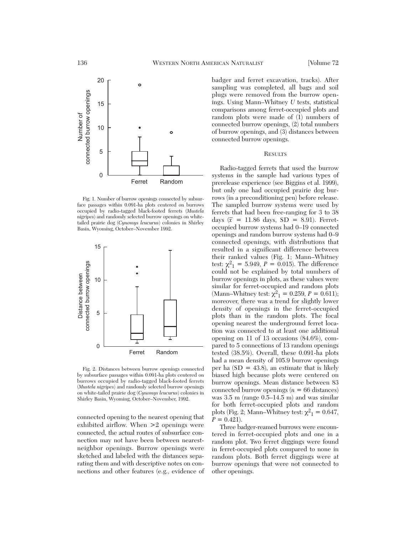

Fig. 1. Number of burrow openings connected by subsurface passages within 0.091-ha plots centered on burrows occupied by radio-tagged black-footed ferrets (*Mustela nigripes*) and randomly selected burrow openings on whitetailed prairie dog (*Cynomys leucurus*) colonies in Shirley Basin, Wyoming, October–November 1992.



Fig. 2. Distances between burrow openings connected by subsurface passages within 0.091-ha plots centered on burrows occupied by radio-tagged black-footed ferrets (*Mustela nigripes*) and randomly selected burrow openings on white-tailed prairie dog (*Cynomys leucurus*) colonies in Shirley Basin, Wyoming, October–November, 1992.

connected opening to the nearest opening that exhibited airflow. When >2 openings were connected, the actual routes of subsurface connection may not have been between nearestneighbor openings. Burrow openings were sketched and labeled with the distances separating them and with descriptive notes on connections and other features (e.g., evidence of

badger and ferret excavation, tracks). After sampling was completed, all bags and soil plugs were removed from the burrow openings. Using Mann–Whitney *U* tests, statistical comparisons among ferret-occupied plots and random plots were made of (1) numbers of connected burrow openings, (2) total numbers of burrow openings, and (3) distances between connected burrow openings.

# **RESULTS**

Radio-tagged ferrets that used the burrow systems in the sample had various types of prerelease experience (see Biggins et al. 1999), but only one had occupied prairie dog burrows (in a preconditioning pen) before release. The sampled burrow systems were used by ferrets that had been free-ranging for 3 to 38 days  $(\bar{x} = 11.86 \text{ days}, SD = 8.91)$ . Ferretoccupied burrow systems had 0–19 connected openings and random burrow systems had 0–9 connected openings, with distributions that resulted in a significant difference between their ranked values (Fig. 1; Mann–Whitney test:  $\chi^2_1 = 5.949, P = 0.015$ . The difference could not be explained by total numbers of burrow openings in plots, as these values were similar for ferret-occupied and random plots (Mann–Whitney test:  $\chi^2$ <sub>1</sub> = 0.259, *P* = 0.611); moreover, there was a trend for slightly lower density of openings in the ferret-occupied plots than in the random plots. The focal opening nearest the underground ferret location was connected to at least one additional opening on 11 of 13 occasions (84.6%), compared to 5 connections of 13 random openings tested (38.5%). Overall, these 0.091-ha plots had a mean density of 105.9 burrow openings per ha  $(SD = 43.8)$ , an estimate that is likely biased high because plots were centered on burrow openings. Mean distance between 83 connected burrow openings (*n* = 66 distances) was 3.5 m (range 0.5–14.5 m) and was similar for both ferret-occupied plots and random plots (Fig. 2; Mann–Whitney test:  $\chi^2$ <sub>1</sub> = 0.647,  $P = 0.421$ .

Three badger-reamed burrows were encountered in ferret-occupied plots and one in a random plot. Two ferret diggings were found in ferret-occupied plots compared to none in random plots. Both ferret diggings were at burrow openings that were not connected to other openings.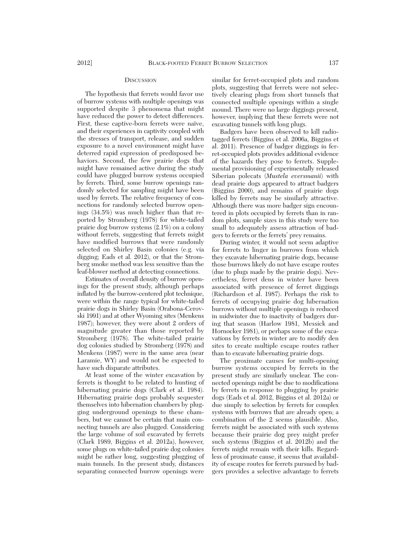## **DISCUSSION**

The hypothesis that ferrets would favor use of burrow systems with multiple openings was supported despite 3 phenomena that might have reduced the power to detect differences. First, these captive-born ferrets were naïve, and their experiences in captivity coupled with the stresses of transport, release, and sudden exposure to a novel environment might have deterred rapid expression of predisposed behaviors. Second, the few prairie dogs that might have remained active during the study could have plugged burrow systems occupied by ferrets. Third, some burrow openings randomly selected for sampling might have been used by ferrets. The relative frequency of connections for randomly selected burrow openings  $(34.5%)$  was much higher than that reported by Stromberg (1978) for white-tailed prairie dog burrow systems (2.1%) on a colony without ferrets, suggesting that ferrets might have modified burrows that were randomly selected on Shirley Basin colonies (e.g. via digging; Eads et al. 2012), or that the Stromberg smoke method was less sensitive than the leaf-blower method at detecting connections.

Estimates of overall density of burrow openings for the present study, although perhaps inflated by the burrow-centered plot technique, were within the range typical for white-tailed prairie dogs in Shirley Basin (Orabona-Cerovski 1991) and at other Wyoming sites (Menkens 1987); however, they were about 2 orders of magnitude greater than those reported by Stromberg (1978). The white-tailed prairie dog colonies studied by Stromberg (1978) and Menkens (1987) were in the same area (near Laramie, WY) and would not be expected to have such disparate attributes.

At least some of the winter excavation by ferrets is thought to be related to hunting of hibernating prairie dogs (Clark et al. 1984). Hibernating prairie dogs probably sequester themselves into hibernation chambers by plugging underground openings to these chambers, but we cannot be certain that main connecting tunnels are also plugged. Considering the large volume of soil excavated by ferrets (Clark 1989, Biggins et al. 2012a), however, some plugs on white-tailed prairie dog colonies might be rather long, suggesting plugging of main tunnels. In the present study, distances separating connected burrow openings were

similar for ferret-occupied plots and random plots, suggesting that ferrets were not selectively clearing plugs from short tunnels that connected multiple openings within a single mound. There were no large diggings present, however, implying that these ferrets were not excavating tunnels with long plugs.

Badgers have been observed to kill radiotagged ferrets (Biggins et al. 2006a, Biggins et al. 2011). Presence of badger diggings in ferret-occupied plots provides additional evidence of the hazards they pose to ferrets. Supplemental provisioning of experimentally released Siberian polecats (*Mustela eversmanii*) with dead prairie dogs appeared to attract badgers (Biggins 2000), and remains of prairie dogs killed by ferrets may be similarly attractive. Although there was more badger sign encountered in plots occupied by ferrets than in random plots, sample sizes in this study were too small to adequately assess attraction of badgers to ferrets or the ferrets' prey remains.

During winter, it would not seem adaptive for ferrets to linger in burrows from which they excavate hibernating prairie dogs, because those burrows likely do not have escape routes (due to plugs made by the prairie dogs). Nevertheless, ferret dens in winter have been associated with presence of ferret diggings (Richardson et al. 1987). Perhaps the risk to ferrets of occupying prairie dog hibernation burrows without multiple openings is reduced in midwinter due to inactivity of badgers during that season (Harlow 1981, Messick and Hornocker 1981), or perhaps some of the excavations by ferrets in winter are to modify den sites to create multiple escape routes rather than to excavate hibernating prairie dogs.

The proximate causes for multi-opening burrow systems occupied by ferrets in the present study are similarly unclear. The connected openings might be due to modifications by ferrets in response to plugging by prairie dogs (Eads et al. 2012, Biggins et al. 2012a) or due simply to selection by ferrets for complex systems with burrows that are already open; a combination of the 2 seems plausible. Also, ferrets might be associated with such systems because their prairie dog prey might prefer such systems (Biggins et al. 2012b) and the ferrets might remain with their kills. Regardless of proximate cause, it seems that availability of escape routes for ferrets pursued by badgers provides a selective advantage to ferrets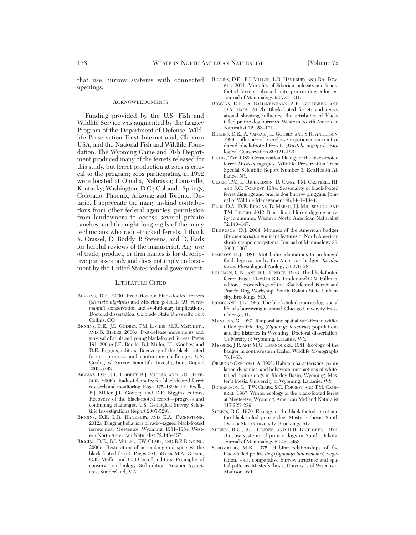that use burrow systems with connected openings.

## **ACKNOWLEDGMENTS**

Funding provided by the U.S. Fish and Wildlife Service was augmented by the Legacy Program of the Department of Defense, Wildlife Preservation Trust International, Chevron USA, and the National Fish and Wildlife Foundation. The Wyoming Game and Fish Department produced many of the ferrets released for this study, but ferret production at zoos is critical to the program; zoos participating in 1992 were located at Omaha, Nebraska; Louisville, Kentucky; Washington, D.C.; Colorado Springs, Colorado; Phoenix, Arizona; and Toronto, On tario. I appreciate the many in-kind contributions from other federal agencies, permission from landowners to access several private ranches, and the night-long vigils of the many technicians who radio-tracked ferrets. I thank S. Grassel, D. Roddy, P. Stevens, and D. Eads for helpful reviews of the manuscript. Any use of trade, product, or firm names is for descriptive purposes only and does not imply endorsement by the United States federal government.

#### LITERATURE CITED

- BIGGINS, D.E. 2000. Predation on black-footed ferrets (*Mustela nigripes*) and Siberian polecats (*M. eversmannii*): conservation and evolutionary implications. Doctoral dissertation, Colorado State University, Fort Collins, CO.
- BIGGINS, D.E., J.L. GODBEY, T.M. LIVIERI, M.R. MATCHETT, AND B. BIBLES. 2006a. Post-release movements and survival of adult and young black-footed ferrets. Pages 191–200 *in* J.E. Roelle, B.J. Miller, J.L. Godbey, and D.E. Biggins, editors, Recovery of the black-footed ferret—progress and continuing challenges. U.S. Geological Survey Scientific Investigations Report 2005-5293.
- BIGGINS, D.E., J.L. GODBEY, B.J. MILLER, AND L.R. HANE-BURY. 2006b. Radio-telemetry for black-footed ferret research and monitoring. Pages 175–189 *in* J.E. Roelle, B.J. Miller, J.L. Godbey, and D.E. Biggins, editors, Recovery of the black-footed ferret—progress and continuing challenges. U.S. Geological Survey Scientific Investigations Report 2005-5293.
- BIGGINS, D.E, L.R. HANEBURY, AND K.A. FAGERSTONE. 2012a. Digging behaviors of radio-tagged black-footed ferrets near Meeteetse, Wyoming, 1981–1984. Western North American Naturalist 72:148–157.
- BIGGINS, D.E., B.J. MILLER, T.W. CLARK, AND R.P. READING. 2006c. Restoration of an endangered species: the black-footed ferret. Pages 581–585 *in* M.A. Groom, G.K. Meffe, and C.R.Carroll, editors, Principles of conservation biology. 3rd edition. Sinauer Associates, Sunderland, MA.
- BIGGINS, D.E., B.J. MILLER, L.R. HANEBURY, AND RA. POW-ELL. 2011. Mortality of Siberian polecats and blackfooted ferrets released onto prairie dog colonies. Journal of Mammalogy 92:721–731.
- BIGGINS, D.E., S. RAMAKRISHNAN, A.R. GOLDBERG, AND D.A. EADS. 2012b. Black-footed ferrets and recreational shooting influence the attributes of blacktailed prairie dog burrows. Western North American Naturalist 72:158–171.
- BIGGINS, D.E., A. VARGAS, J.L. GODBEY, AND S.H. ANDERSON. 1999. Influence of prerelease experience on reintroduced black-footed ferrets (*Mustela nigripes*). Biological Conservation 89:121–129.
- CLARK, T.W. 1989. Conservation biology of the black-footed ferret *Mustela nigripes*. Wildlife Preservation Trust Special Scientific Report Number 3, EcoHealth Al liance, NY.
- CLARK, T.W., L. RICHARDSON, D. CASEY, T.M. CAMPBELL III, AND S.C. FORREST. 1984. Seasonality of black-footed ferret diggings and prairie dog burrow plugging. Journal of Wildlife Management 48:1441–1444.
- EADS, D.A., D.E. BIGGINS, D. MARSH, J.J. MILLSPAUGH, AND T.M. LIVIERI. 2012. Black-footed ferret digging activity in summer. Western North American Naturalist 72:140–147.
- ELDRIDGE, D.J. 2004. Mounds of the American badger (*Taxidea taxus*): significant features of North American shrub-steppe ecosystems. Journal of Mammalogy 85: 1060–1067.
- HARLOW, H.J. 1981. Metabolic adaptations to prolonged food deprivation by the American badger, *Taxidea taxus*. Physiological Zoology 54:276–284.
- HILLMAN, C.N., AND R.L. LINDER. 1973. The black-footed ferret. Pages 10–20 *in* R.L. Linder and C.N. Hillman, editors, Proceedings of the Black-footed Ferret and Prairie Dog Workshop. South Dakota State University, Brookings, SD.
- HOOGLAND, J.L. 1995. The black-tailed prairie dog: social life of a burrowing mammal. Chicago University Press, Chicago, IL.
- MENKENS, G. 1987. Temporal and spatial variation in whitetailed prairie dog (*Cynomys leucurus*) populations and life histories in Wyoming. Doctoral dissertation, University of Wyoming, Laramie, WY.
- MESSICK, J.P., AND M.G. HORNOCKER. 1981. Ecology of the badger in southwestern Idaho. Wildlife Monographs 76:1–53.
- ORABONA-CEROVSKI, A. 1991. Habitat characteristics, population dynamics, and behavioral interactions of whitetailed prairie dogs in Shirley Basin, Wyoming. Master's thesis, University of Wyoming, Laramie, WY.
- RICHARDSON, L., T.W. CLARK, S.C. FORREST, AND T.M. CAMP-BELL. 1987. Winter ecology of the black-footed ferret at Meeteetse, Wyoming. American Midland Naturalist 117:225–239.
- SHEETS, R.G. 1970. Ecology of the black-footed ferret and the black-tailed prairie dog. Master's thesis, South Dakota State University, Brookings, SD.
- SHEETS, R.G., R.L. LINDER, AND R.B. DAHLGREN. 1971. Burrow systems of prairie dogs in South Dakota. Journal of Mammalogy 52:451–453.
- STROMBERG, M.R. 1975. Habitat relationships of the black-tailed prairie dog (*Cynomys ludovicianus*): vegetation, soils, comparative burrow structure and spatial patterns. Master's thesis, University of Wisconsin, Madison, WI.